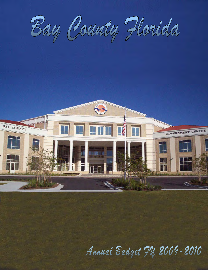



Annual Budget 74, 2009-2010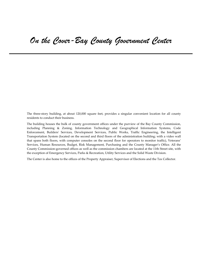The three-story building, at about 120,000 square feet, provides a singular convenient location for all county residents to conduct their business.

The building houses the bulk of county government offices under the purview of the Bay County Commission, including Planning & Zoning, Information Technology and Geographical Information Systems, Code Enforcement, Buildersʹ Services, Development Services, Public Works, Traffic Engineering, the Intelligent Transportation System (located on the second and third floors of the administration building; with a video wall that spans both floors, with computer consoles on the second floor for operators to monitor traffic), Veterans' Services, Human Resources, Budget, Risk Management, Purchasing and the County Manager's Office. All the County Commission‐governed offices as well as the commission chambers are located at the 11th Street site, with the exception of Emergency Services, Parks & Recreation, Utility Services and the Solid Waste Division.

The Center is also home to the offices of the Property Appraiser, Supervisor of Elections and the Tax Collector.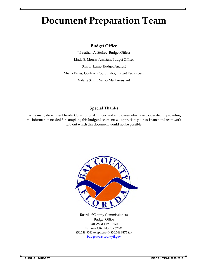# **Document Preparation Team**

## **Budget Office**

Johnathan A. Stukey, Budget Officer Linda E. Morris, Assistant Budget Officer Sharon Lamb, Budget Analyst Sheila Faries, Contract Coordinator/Budget Technician Valerie Smith, Senior Staff Assistant

# **Special Thanks**

To the many department heads, Constitutional Offices, and employees who have cooperated in providing the information needed for compiling this budget document; we appreciate your assistance and teamwork without which this document would not be possible.



Board of County Commissioners Budget Office 840 West 11th Street Panama City, Florida 32401 850.248.8240 telephone  $*$  850.248.8172 fax [budget@baycountyfl.gov](mailto:budget@baycountyfl.gov)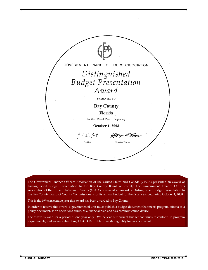

The Government Finance Officers Association of the United States and Canada (GFOA) presented an award of Distinguished Budget Presentation to the Bay County Board of County The Government Finance Officers Association of the United States and Canada (GFOA) presented an award of Distinguished Budget Presentation to the Bay County Board of County Commissioners for its annual budget for the fiscal year beginning October 1, 2008.

This is the 19<sup>th</sup> consecutive year this award has been awarded to Bay County.

In order to receive this award, a governmental unit must publish a budget document that meets program criteria as a policy document, as an operations guide, as a financial plan and as a communication device.

The award is valid for a period of one year only. We believe our current budget continues to conform to program requirements, and we are submitting it to GFOA to determine its eligibility for another award.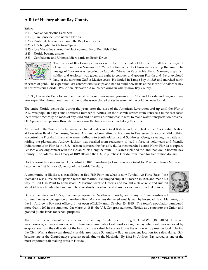# **A Bit of History about Bay County**

Before

- 1513 Native Americans lived here.
- 1513 ‐ Juan Ponce de Leon named Florida.
- 1528 ‐ Panfilo de Narvaez explored the Bay County area.
- 1821 U.S. bought Florida from Spain.
- 1835 ‐ Jose Massalina started the black community of Red Fish Point.
- 1845 ‐ Florida became a state.

1863 - Confederate and Union soldiers battle on Beach Drive.



The history of Bay County coincides with that of the State of Florida. The ill fated voyage of Governor Panfilo de Narvaez in 1529 is the first account of Europeans visiting the area. The voyage of Narvaez was recorded by Captain Cabeza de Vaca in his diary. Narvaez, a Spanish soldier and explorer, was given the right to conquer and govern Florida and the unexplored land of the northern Gulf of Mexico coast. He landed in Tampa Bay in 1528 and marched north

in search of gold. The expedition lost contact with its ships and had to build new boats at the shore of Apalachee Bay in northwestern Florida. While here Narvaez did much exploring in what is now Bay County.

In 1538, Hernando De Soto, another Spanish explorer, was named governor of Cuba and Florida and began a three year expedition throughout much of the southeastern United States in search of the gold he never found.

The entire Florida peninsula, during the years after the close of the American Revolution and up until the War of 1812, was populated by a small scattered number of Whites. In the 400 mile stretch from Pensacola to the east coast, there were practically no roads of any kind and no rivers running east to west to make water transportation possible. Old Spanish Trail passing through our area was the first east‐west road along this route.

At the end of the War of 1812 between the United States and Great Britain, and the defeat of the Creek Indian Nation at Horseshoe Bend in Tennessee, General Andrew Jackson retired to his home in Tennessee. Since Spain did nothing to control the Florida Indians who were raiding into South Alabama and Southwest Georgia stealing the cattle and raiding the plantations, Andrew Jackson was recalled from retirement to lead a force of volunteers and friendly Indians into West Florida in 1818. Jackson captured the fort at Wakulla then marched across North Florida to capture Pensacola, seeking contact with the Indian chiefs along the route. This area included the land that would become Bay County. The Adams‐Onis Treaty of 1819 allowed the U.S. to purchase Florida from Spain for five million dollars.

Florida formally came under U.S. control in 1821. Andrew Jackson was appointed by President James Monroe to become the first Military Governor of the Florida Territory.

A community of Blacks was established at Red Fish Point on what is now Tyndall Air Force Base. Jose Massalina was a free black Spanish merchant marine. He jumped ship at St. Joseph in 1836 and made his way to Red Fish Point to homestead. Massalina went to Georgia and bought a slave wife and invited about 40 Black families to join him. They constructed a school and church as well as individual homes.



During the 1840s and 1850s, planters prospered in Northwest Florida, and many of them constructed summer homes or cottages on St. Andrew Bay. Mail carriers delivered weekly mail by horseback from Marianna, but the St. Andrew's Bay post office did not open officially until October 23, 1845. The town's population numbered more than 1,200 in the summer. On March 3, 1845, the U.S. Congress admitted Florida as a state into the Union and granted public lands for school purposes.

There was little settlement of the area we now call Bay County except during the Civil War (1861‐1865). This area was, however, a major source of salt. There were hundreds of salt works along the bay where salt was removed by evaporation from the salt water of the bay. Salt was valuable because it was the only way to preserve food. During the Civil War, a three-year drought in this area made St. Andrew Bay an excellent location for salt-making. Salt became one of the Confederacyʹs greatest needs due to the blockade. By 1862 St. Andrew Bay served as one of the most important salt making areas in Florida.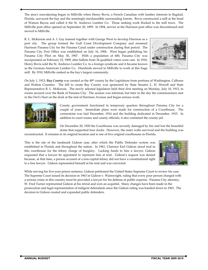The areaʹs reawakening began in Millville when Henry Bovis, a French Canadian with lumber interests in Bagdad, Florida, surveyed the bay and the seemingly‐inexhaustible surrounding forests. Bovis constructed a mill at the head of Watson Bayou and called it the St. Andrews Lumber Co. Those seeking work flocked to the mill town. The Millville post office opened on September 20, 1899. In 1904, service at the Harrison post office was discontinued and moved to Millville.

R. L. McKenzie and A. I. Gay teamed together with George West to develop Harrison as a port city. The group formed the Gulf Coast Development Company and renamed Harrison Panama City for the Panama Canal under construction during that period. The Panama City Post Office was established on July 16, 1906. West began publishing his Panama City Pilot on May 30, 1907. With a population of 600, Panama City was incorporated on February 23, 1909, after ballots from 34 qualified voters were cast. In 1910, Henry Bovis sold the St. Andrews Lumber Co. to a foreign syndicate and it became known as the German‐American Lumber Co. Hundreds moved to Millville to work at this huge mill. By 1910, Millville ranked as the bayʹs largest community.



On July 1, 1913, *Bay County* was created as the 49th county by the Legislature from portions of Washington, Calhoun and Walton Counties. The bill to create Bay County was sponsored by State Senator L. H. Howell and State Representative R. L. McKenzie. The newly selected legislators held their first meeting on Monday, July 10, 1913, in rooms secured over the Bank of Panama City. The session was informal, but later in the day the commissioners met in the Owlʹs Nest on the dock at the end of Harrison Avenue and began serious work.



County government functioned in temporary quarters throughout Panama City for a couple of years. Immediate plans were made for construction of a Courthouse. The cornerstone was laid December, 1914 and the building dedicated in December, 1915. In addition to court rooms and county officials, it also contained the county jail.

On December 20, 1920 the Courthouse was severely damaged by fire and lost the beautiful dome that supported four clocks. However, the outer walls survived and the building was

reconstructed. It remains in its original location and is one of five original courthouses in Florida.

This is the site of the landmark Gideon case, after which the Public Defender system was established in Florida and throughout the nation. In 1961, Clarence Earl Gideon stood trial in this courthouse for the felony charge of burglary. Lacking funds to hire a lawyer, Gideon requested that a lawyer be appointed to represent him at trial. Gideon's request was denied because, at that time, a person accused of a non‐capital felony did not have a constitutional right to a free lawyer. Gideon represented himself at his trial and was convicted.



While serving his five‐year prison sentence, Gideon petitioned the United States Supreme Court to review his case. The Supreme Court issued its decision in 1963 in Gideon v. Wainwright, ruling that every poor person charged with a serious crime in this country must be provided a lawyer for his defense at public expense. Panama City attorney, W. Fred Turner represented Gideon at his retrial and won an acquittal. Many changes have been made in the prosecution and legal representation of indigent defendants since the Gideon ruling was handed down in 1963. The decision in Gideon created and expanded public defenders.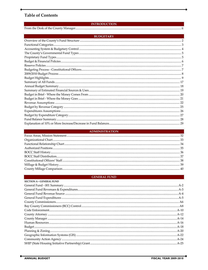## **Table of Contents**

#### **INTRODUCTION**

| <b>BUDGETARY</b>                                                                                                                                                                                                                                                                                                                                                                      |
|---------------------------------------------------------------------------------------------------------------------------------------------------------------------------------------------------------------------------------------------------------------------------------------------------------------------------------------------------------------------------------------|
|                                                                                                                                                                                                                                                                                                                                                                                       |
|                                                                                                                                                                                                                                                                                                                                                                                       |
|                                                                                                                                                                                                                                                                                                                                                                                       |
|                                                                                                                                                                                                                                                                                                                                                                                       |
|                                                                                                                                                                                                                                                                                                                                                                                       |
|                                                                                                                                                                                                                                                                                                                                                                                       |
|                                                                                                                                                                                                                                                                                                                                                                                       |
| $\bf{B}~\rm{udgeting~Process}~\rm{-}~\rm{Constitutional~Officers.} \\ \textcolor{red}{\bf{D}~\rm{H}~\rm{O}~\rm{O} (9/2010~B~\rm{udget~Process~}\rm{}} \\ \textcolor{red}{\bf{D}~\rm{O}~\rm{O} (9/2010~B~\rm{udget~Process~}\rm{}} \\ \textcolor{red}{\bf{D}~\rm{O}~\rm{O} (9/2010~B~\rm{udget~Process~}\rm{}} \\ \textcolor{red}{\bf{D}~\rm{O}~\rm{O} (9/2010~B~\rm{udget~process~}\$ |
|                                                                                                                                                                                                                                                                                                                                                                                       |
|                                                                                                                                                                                                                                                                                                                                                                                       |
|                                                                                                                                                                                                                                                                                                                                                                                       |
|                                                                                                                                                                                                                                                                                                                                                                                       |
|                                                                                                                                                                                                                                                                                                                                                                                       |
|                                                                                                                                                                                                                                                                                                                                                                                       |
|                                                                                                                                                                                                                                                                                                                                                                                       |
|                                                                                                                                                                                                                                                                                                                                                                                       |
|                                                                                                                                                                                                                                                                                                                                                                                       |
|                                                                                                                                                                                                                                                                                                                                                                                       |
|                                                                                                                                                                                                                                                                                                                                                                                       |
|                                                                                                                                                                                                                                                                                                                                                                                       |
|                                                                                                                                                                                                                                                                                                                                                                                       |

#### **ADMINISTRATION**

#### **GENERAL FUND**

| <b>SECTION A - GENERAL FUND</b> |  |
|---------------------------------|--|
|                                 |  |
|                                 |  |
|                                 |  |
|                                 |  |
|                                 |  |
|                                 |  |
|                                 |  |
|                                 |  |
|                                 |  |
|                                 |  |
|                                 |  |
|                                 |  |
|                                 |  |
|                                 |  |
|                                 |  |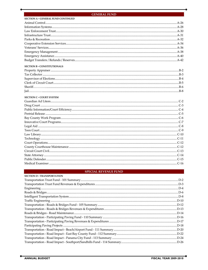## **GENERAL FUND**

| <b>SECTION A - GENERAL FUND CONTINUED</b> |  |
|-------------------------------------------|--|
|                                           |  |
|                                           |  |
|                                           |  |
|                                           |  |
|                                           |  |
|                                           |  |
|                                           |  |
|                                           |  |
|                                           |  |
|                                           |  |
| <b>SECTION B - CONSTITUTIONALS</b>        |  |
|                                           |  |
|                                           |  |
|                                           |  |
|                                           |  |
|                                           |  |
|                                           |  |
| <b>SECTION C - COURT SYSTEM</b>           |  |
|                                           |  |
|                                           |  |
|                                           |  |
|                                           |  |
|                                           |  |
|                                           |  |
|                                           |  |
|                                           |  |
|                                           |  |
|                                           |  |
|                                           |  |
|                                           |  |
| C-13                                      |  |
|                                           |  |
|                                           |  |
|                                           |  |

## **SPECIAL REVENUE FUND**

| <b>SECTION D - TRANSPORTATION</b> |  |
|-----------------------------------|--|
|                                   |  |
|                                   |  |
|                                   |  |
|                                   |  |
|                                   |  |
|                                   |  |
|                                   |  |
|                                   |  |
|                                   |  |
|                                   |  |
|                                   |  |
|                                   |  |
|                                   |  |
|                                   |  |
|                                   |  |
|                                   |  |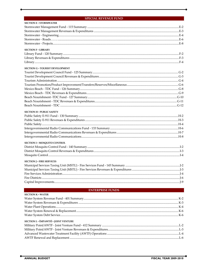#### **SPECIAL REVENUE FUND**

| <b>SECTION F - LIBRARY</b><br><b>SECTION G - TOURIST DEVELOPMENT</b><br><b>SECTION H - PUBLIC SAFETY</b><br><b>SECTION I - MOSQUITO CONTROL</b><br><b>SECTION J - FIRE SERVICES</b><br><b>ENTERPRISE FUNDS</b><br><b>SECTION K - WATER</b> | <b>SECTION E - STORMWATER</b> |  |
|--------------------------------------------------------------------------------------------------------------------------------------------------------------------------------------------------------------------------------------------|-------------------------------|--|
|                                                                                                                                                                                                                                            |                               |  |
|                                                                                                                                                                                                                                            |                               |  |
|                                                                                                                                                                                                                                            |                               |  |
|                                                                                                                                                                                                                                            |                               |  |
|                                                                                                                                                                                                                                            |                               |  |
|                                                                                                                                                                                                                                            |                               |  |
|                                                                                                                                                                                                                                            |                               |  |
|                                                                                                                                                                                                                                            |                               |  |
|                                                                                                                                                                                                                                            |                               |  |
|                                                                                                                                                                                                                                            |                               |  |
|                                                                                                                                                                                                                                            |                               |  |
|                                                                                                                                                                                                                                            |                               |  |
|                                                                                                                                                                                                                                            |                               |  |
|                                                                                                                                                                                                                                            |                               |  |
|                                                                                                                                                                                                                                            |                               |  |
|                                                                                                                                                                                                                                            |                               |  |
|                                                                                                                                                                                                                                            |                               |  |
|                                                                                                                                                                                                                                            |                               |  |
|                                                                                                                                                                                                                                            |                               |  |
|                                                                                                                                                                                                                                            |                               |  |
|                                                                                                                                                                                                                                            |                               |  |
|                                                                                                                                                                                                                                            |                               |  |
|                                                                                                                                                                                                                                            |                               |  |
|                                                                                                                                                                                                                                            |                               |  |
|                                                                                                                                                                                                                                            |                               |  |
|                                                                                                                                                                                                                                            |                               |  |
|                                                                                                                                                                                                                                            |                               |  |
|                                                                                                                                                                                                                                            |                               |  |
|                                                                                                                                                                                                                                            |                               |  |
|                                                                                                                                                                                                                                            |                               |  |
|                                                                                                                                                                                                                                            |                               |  |
|                                                                                                                                                                                                                                            |                               |  |
|                                                                                                                                                                                                                                            |                               |  |
|                                                                                                                                                                                                                                            |                               |  |
|                                                                                                                                                                                                                                            |                               |  |
|                                                                                                                                                                                                                                            |                               |  |
|                                                                                                                                                                                                                                            |                               |  |
|                                                                                                                                                                                                                                            |                               |  |
|                                                                                                                                                                                                                                            |                               |  |
|                                                                                                                                                                                                                                            |                               |  |
|                                                                                                                                                                                                                                            |                               |  |
|                                                                                                                                                                                                                                            |                               |  |

### **SECTION L - (MPAWTF) - JOINT VENTURE**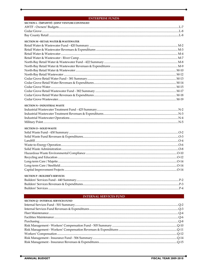#### **ENTERPRISE FUNDS**

| <b>SECTION L - (MPAWTF) - JOINT VENTURE CONTINUED</b> |     |
|-------------------------------------------------------|-----|
|                                                       |     |
|                                                       |     |
|                                                       |     |
| <b>SECTION M - RETAIL WATER &amp; WASTEWATER</b>      |     |
|                                                       |     |
|                                                       |     |
|                                                       |     |
|                                                       |     |
|                                                       |     |
|                                                       |     |
|                                                       |     |
|                                                       |     |
|                                                       |     |
|                                                       |     |
|                                                       |     |
|                                                       |     |
|                                                       |     |
|                                                       |     |
| <b>SECTION N - INDUSTRIAL WASTE</b>                   |     |
|                                                       |     |
|                                                       |     |
|                                                       |     |
|                                                       |     |
| <b>SECTION O - SOLID WASTE</b>                        |     |
|                                                       |     |
|                                                       |     |
|                                                       |     |
|                                                       |     |
|                                                       |     |
|                                                       |     |
|                                                       |     |
|                                                       |     |
|                                                       |     |
|                                                       |     |
| <b>SECTION P - BUILDER'S SERVICES</b>                 |     |
|                                                       |     |
|                                                       |     |
|                                                       |     |
| <b>INTERNAL SERVICES FUND</b>                         |     |
| <b>SECTION O - INTERNAL SERVICES FUND</b>             |     |
|                                                       |     |
|                                                       |     |
|                                                       |     |
| Facilities Maintenance                                | O-6 |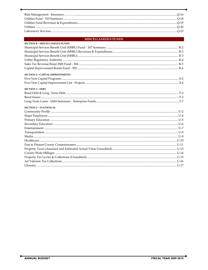#### **MISCELLANEOUS FUNDS**

| <b>SECTION R - MISCELLANEOUS FUNDS</b>  |  |
|-----------------------------------------|--|
|                                         |  |
|                                         |  |
|                                         |  |
|                                         |  |
|                                         |  |
|                                         |  |
| <b>SECTION S - CAPITAL IMPROVEMENTS</b> |  |
|                                         |  |
|                                         |  |
| <b>SECTION T - DEBT</b>                 |  |
|                                         |  |
|                                         |  |
|                                         |  |
| <b>SECTION U - STATISTICAL</b>          |  |
|                                         |  |
|                                         |  |
|                                         |  |
|                                         |  |
|                                         |  |
|                                         |  |
|                                         |  |
|                                         |  |
|                                         |  |
|                                         |  |
|                                         |  |
|                                         |  |
|                                         |  |
|                                         |  |
|                                         |  |